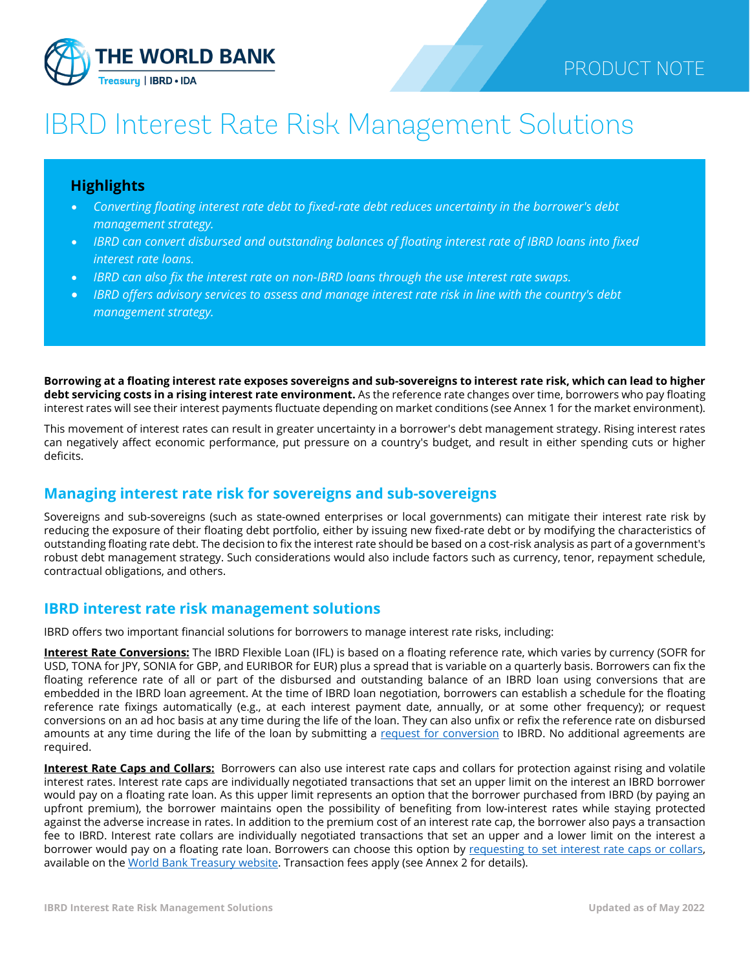

# IBRD Interest Rate Risk Management Solutions

# **Highlights**

- *Converting floating interest rate debt to fixed-rate debt reduces uncertainty in the borrower's debt management strategy.*
- *IBRD can convert disbursed and outstanding balances of floating interest rate of IBRD loans into fixed interest rate loans.*
- *IBRD can also fix the interest rate on non-IBRD loans through the use interest rate swaps.*
- *IBRD offers advisory services to assess and manage interest rate risk in line with the country's debt management strategy.*

**Borrowing at a floating interest rate exposes sovereigns and sub-sovereigns to interest rate risk, which can lead to higher debt servicing costs in a rising interest rate environment.** As the reference rate changes over time, borrowers who pay floating interest rates will see their interest payments fluctuate depending on market conditions (see Annex 1 for the market environment).

This movement of interest rates can result in greater uncertainty in a borrower's debt management strategy. Rising interest rates can negatively affect economic performance, put pressure on a country's budget, and result in either spending cuts or higher deficits.

# **Managing interest rate risk for sovereigns and sub-sovereigns**

Sovereigns and sub-sovereigns (such as state-owned enterprises or local governments) can mitigate their interest rate risk by reducing the exposure of their floating debt portfolio, either by issuing new fixed-rate debt or by modifying the characteristics of outstanding floating rate debt. The decision to fix the interest rate should be based on a cost-risk analysis as part of a government's robust debt management strategy. Such considerations would also include factors such as currency, tenor, repayment schedule, contractual obligations, and others.

## **IBRD interest rate risk management solutions**

IBRD offers two important financial solutions for borrowers to manage interest rate risks, including:

**Interest Rate Conversions:** The IBRD Flexible Loan (IFL) is based on a floating reference rate, which varies by currency (SOFR for USD, TONA for JPY, SONIA for GBP, and EURIBOR for EUR) plus a spread that is variable on a quarterly basis. Borrowers can fix the floating reference rate of all or part of the disbursed and outstanding balance of an IBRD loan using conversions that are embedded in the IBRD loan agreement. At the time of IBRD loan negotiation, borrowers can establish a schedule for the floating reference rate fixings automatically (e.g., at each interest payment date, annually, or at some other frequency); or request conversions on an ad hoc basis at any time during the life of the loan. They can also unfix or refix the reference rate on disbursed amounts at any time during the life of the loan by submitting a [request for conversion](https://thedocs.worldbank.org/en/doc/8409e8677751cffecea78f21413985b2-0340012021/original/Request-Form-Interest-Rate-Conversion.pdf) to IBRD. No additional agreements are required.

**Interest Rate Caps and Collars:** Borrowers can also use interest rate caps and collars for protection against rising and volatile interest rates. Interest rate caps are individually negotiated transactions that set an upper limit on the interest an IBRD borrower would pay on a floating rate loan. As this upper limit represents an option that the borrower purchased from IBRD (by paying an upfront premium), the borrower maintains open the possibility of benefiting from low-interest rates while staying protected against the adverse increase in rates. In addition to the premium cost of an interest rate cap, the borrower also pays a transaction fee to IBRD. Interest rate collars are individually negotiated transactions that set an upper and a lower limit on the interest a borrower would pay on a floating rate loan. Borrowers can choose this option by requesting to set interest rate caps or collars, available on th[e World Bank Treasury website.](https://treasury.worldbank.org/en/about/unit/treasury/ibrd-financial-products/ibrd-flexible-loan#2) Transaction fees apply (see Annex 2 for details).